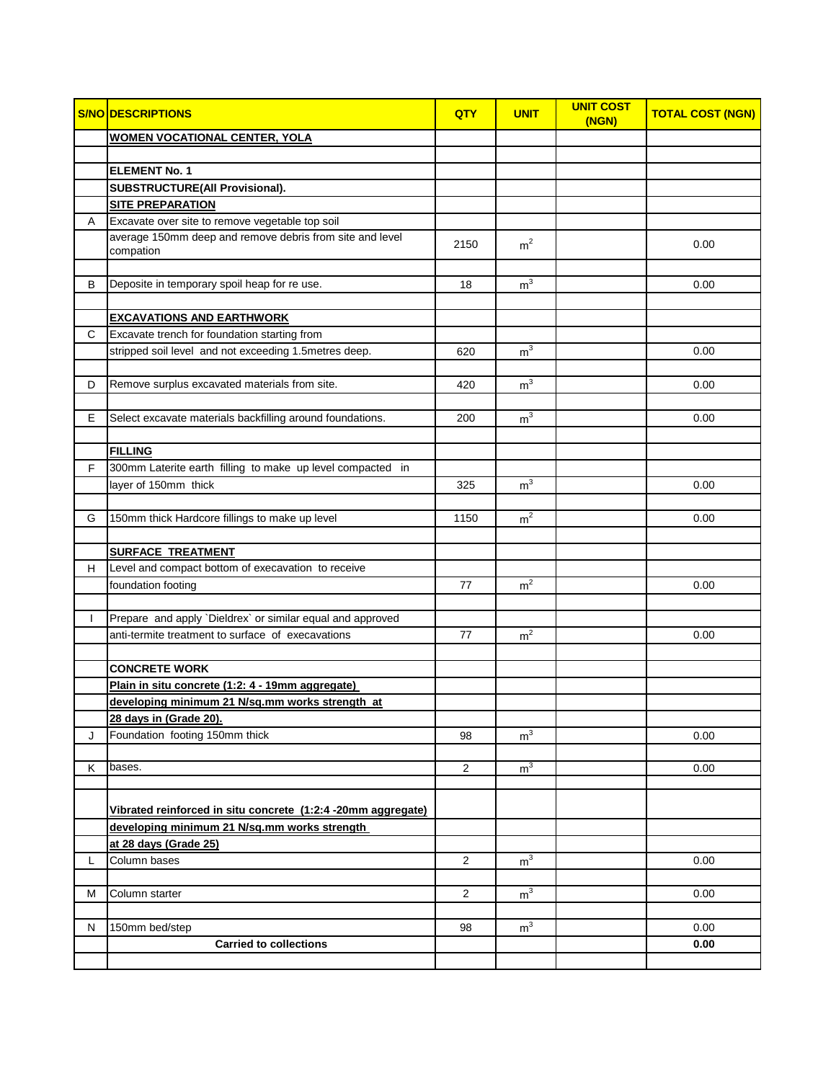|   | <b>S/NO DESCRIPTIONS</b>                                              | QTY            | <b>UNIT</b>    | <b>UNIT COST</b><br>(NGN) | <b>TOTAL COST (NGN)</b> |
|---|-----------------------------------------------------------------------|----------------|----------------|---------------------------|-------------------------|
|   | <b>WOMEN VOCATIONAL CENTER, YOLA</b>                                  |                |                |                           |                         |
|   |                                                                       |                |                |                           |                         |
|   | <b>ELEMENT No. 1</b>                                                  |                |                |                           |                         |
|   | SUBSTRUCTURE(All Provisional).                                        |                |                |                           |                         |
|   | <b>SITE PREPARATION</b>                                               |                |                |                           |                         |
| Α | Excavate over site to remove vegetable top soil                       |                |                |                           |                         |
|   | average 150mm deep and remove debris from site and level<br>compation | 2150           | m <sup>2</sup> |                           | 0.00                    |
|   |                                                                       |                |                |                           |                         |
| В | Deposite in temporary spoil heap for re use.                          | 18             | m <sup>3</sup> |                           | 0.00                    |
|   |                                                                       |                |                |                           |                         |
|   | <b>EXCAVATIONS AND EARTHWORK</b>                                      |                |                |                           |                         |
| C | Excavate trench for foundation starting from                          |                |                |                           |                         |
|   | stripped soil level and not exceeding 1.5metres deep.                 | 620            | m <sup>3</sup> |                           | 0.00                    |
|   |                                                                       |                |                |                           |                         |
| D | Remove surplus excavated materials from site.                         | 420            | m <sup>3</sup> |                           | 0.00                    |
|   |                                                                       |                |                |                           |                         |
| E | Select excavate materials backfilling around foundations.             | 200            | m <sup>3</sup> |                           | 0.00                    |
|   |                                                                       |                |                |                           |                         |
|   | <b>FILLING</b>                                                        |                |                |                           |                         |
| F | 300mm Laterite earth filling to make up level compacted in            |                |                |                           |                         |
|   | layer of 150mm thick                                                  | 325            | m <sup>3</sup> |                           | 0.00                    |
|   |                                                                       |                |                |                           |                         |
| G | 150mm thick Hardcore fillings to make up level                        | 1150           | m <sup>2</sup> |                           | 0.00                    |
|   | <b>SURFACE TREATMENT</b>                                              |                |                |                           |                         |
| H | Level and compact bottom of execavation to receive                    |                |                |                           |                         |
|   | foundation footing                                                    | 77             | m <sup>2</sup> |                           | 0.00                    |
|   |                                                                       |                |                |                           |                         |
|   | Prepare and apply `Dieldrex` or similar equal and approved            |                |                |                           |                         |
|   | anti-termite treatment to surface of execavations                     | 77             | m <sup>2</sup> |                           | 0.00                    |
|   |                                                                       |                |                |                           |                         |
|   | <b>CONCRETE WORK</b>                                                  |                |                |                           |                         |
|   | Plain in situ concrete (1:2: 4 - 19mm aggregate)                      |                |                |                           |                         |
|   | developing minimum 21 N/sq.mm works strength at                       |                |                |                           |                         |
|   | 28 days in (Grade 20).                                                |                |                |                           |                         |
| J | Foundation footing 150mm thick                                        | 98             | m <sup>3</sup> |                           | 0.00                    |
|   |                                                                       |                |                |                           |                         |
| Κ | bases.                                                                | 2              | m <sup>3</sup> |                           | 0.00                    |
|   |                                                                       |                |                |                           |                         |
|   | Vibrated reinforced in situ concrete (1:2:4 -20mm aggregate)          |                |                |                           |                         |
|   | developing minimum 21 N/sg.mm works strength                          |                |                |                           |                         |
|   | at 28 days (Grade 25)                                                 |                |                |                           |                         |
| L | Column bases                                                          | 2              | m <sup>3</sup> |                           | 0.00                    |
|   |                                                                       |                |                |                           |                         |
| м | Column starter                                                        | $\overline{c}$ | m <sup>3</sup> |                           | 0.00                    |
|   |                                                                       |                |                |                           |                         |
| N | 150mm bed/step                                                        | 98             | m <sup>3</sup> |                           | 0.00                    |
|   | <b>Carried to collections</b>                                         |                |                |                           | 0.00                    |
|   |                                                                       |                |                |                           |                         |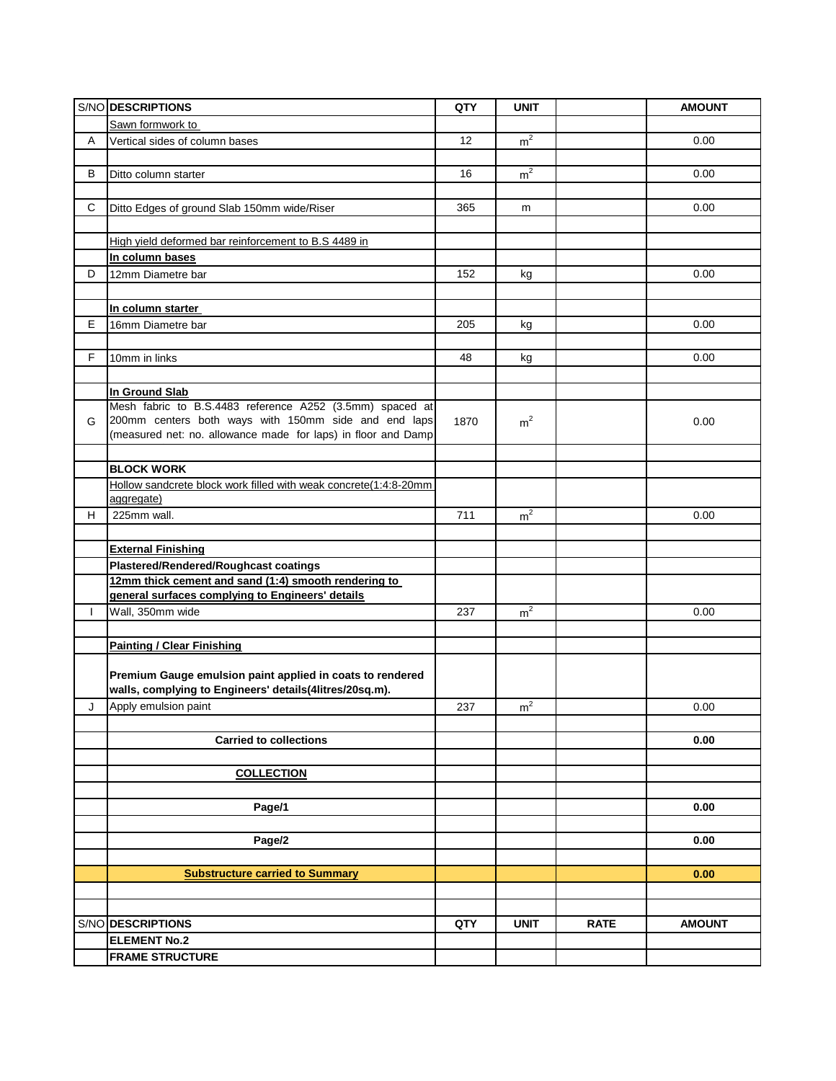|    | S/NO DESCRIPTIONS                                                | QTY  | <b>UNIT</b>    |             | <b>AMOUNT</b> |
|----|------------------------------------------------------------------|------|----------------|-------------|---------------|
|    | Sawn formwork to                                                 |      |                |             |               |
| Α  | Vertical sides of column bases                                   | 12   | m <sup>2</sup> |             | 0.00          |
|    |                                                                  |      |                |             |               |
| B  | Ditto column starter                                             | 16   | m <sup>2</sup> |             | 0.00          |
|    |                                                                  |      |                |             |               |
| C  |                                                                  | 365  | m              |             | 0.00          |
|    | Ditto Edges of ground Slab 150mm wide/Riser                      |      |                |             |               |
|    |                                                                  |      |                |             |               |
|    | High yield deformed bar reinforcement to B.S 4489 in             |      |                |             |               |
|    | In column bases                                                  |      |                |             |               |
| D  | 12mm Diametre bar                                                | 152  | kg             |             | 0.00          |
|    |                                                                  |      |                |             |               |
|    | In column starter                                                |      |                |             |               |
| E  | 16mm Diametre bar                                                | 205  | kg             |             | 0.00          |
|    |                                                                  |      |                |             |               |
| F. | 10mm in links                                                    | 48   | kg             |             | 0.00          |
|    |                                                                  |      |                |             |               |
|    | In Ground Slab                                                   |      |                |             |               |
|    | Mesh fabric to B.S.4483 reference A252 (3.5mm) spaced at         |      |                |             |               |
| G  | 200mm centers both ways with 150mm side and end laps             | 1870 | m <sup>2</sup> |             | 0.00          |
|    | (measured net: no. allowance made for laps) in floor and Damp    |      |                |             |               |
|    |                                                                  |      |                |             |               |
|    | <b>BLOCK WORK</b>                                                |      |                |             |               |
|    | Hollow sandcrete block work filled with weak concrete(1:4:8-20mm |      |                |             |               |
|    | aggregate)                                                       |      |                |             |               |
| н  | 225mm wall.                                                      | 711  | m <sup>2</sup> |             | 0.00          |
|    |                                                                  |      |                |             |               |
|    |                                                                  |      |                |             |               |
|    | <b>External Finishing</b>                                        |      |                |             |               |
|    | Plastered/Rendered/Roughcast coatings                            |      |                |             |               |
|    | 12mm thick cement and sand (1:4) smooth rendering to             |      |                |             |               |
|    | general surfaces complying to Engineers' details                 |      |                |             |               |
| L  | Wall, 350mm wide                                                 | 237  | m <sup>2</sup> |             | 0.00          |
|    |                                                                  |      |                |             |               |
|    | <b>Painting / Clear Finishing</b>                                |      |                |             |               |
|    |                                                                  |      |                |             |               |
|    | Premium Gauge emulsion paint applied in coats to rendered        |      |                |             |               |
|    | walls, complying to Engineers' details(4litres/20sq.m).          |      |                |             |               |
| J  | Apply emulsion paint                                             | 237  | m <sup>2</sup> |             | 0.00          |
|    |                                                                  |      |                |             |               |
|    | <b>Carried to collections</b>                                    |      |                |             | 0.00          |
|    |                                                                  |      |                |             |               |
|    | <b>COLLECTION</b>                                                |      |                |             |               |
|    |                                                                  |      |                |             |               |
|    | Page/1                                                           |      |                |             | 0.00          |
|    |                                                                  |      |                |             |               |
|    | Page/2                                                           |      |                |             | 0.00          |
|    |                                                                  |      |                |             |               |
|    |                                                                  |      |                |             | 0.00          |
|    | <b>Substructure carried to Summary</b>                           |      |                |             |               |
|    |                                                                  |      |                |             |               |
|    |                                                                  |      |                |             |               |
|    | S/NO DESCRIPTIONS                                                | QTY  | <b>UNIT</b>    | <b>RATE</b> | <b>AMOUNT</b> |
|    | <b>ELEMENT No.2</b>                                              |      |                |             |               |
|    | <b>FRAME STRUCTURE</b>                                           |      |                |             |               |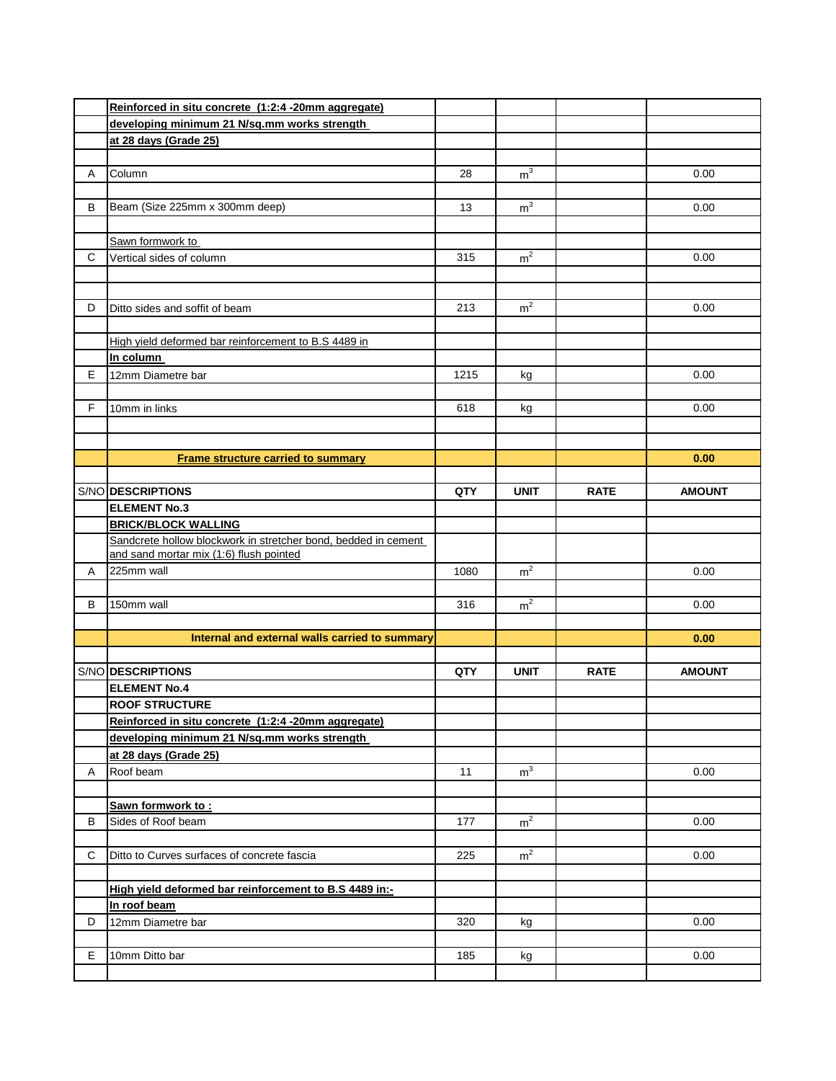|    | Reinforced in situ concrete (1:2:4 -20mm aggregate)            |      |                |             |               |
|----|----------------------------------------------------------------|------|----------------|-------------|---------------|
|    | developing minimum 21 N/sg.mm works strength                   |      |                |             |               |
|    | at 28 days (Grade 25)                                          |      |                |             |               |
|    |                                                                |      |                |             |               |
| Α  | Column                                                         | 28   | m <sup>3</sup> |             | 0.00          |
|    |                                                                |      |                |             |               |
| В  | Beam (Size 225mm x 300mm deep)                                 | 13   | m <sup>3</sup> |             | 0.00          |
|    |                                                                |      |                |             |               |
|    | Sawn formwork to                                               |      |                |             |               |
| C  | Vertical sides of column                                       | 315  | m <sup>2</sup> |             | 0.00          |
|    |                                                                |      |                |             |               |
|    |                                                                |      |                |             |               |
| D  | Ditto sides and soffit of beam                                 | 213  | m <sup>2</sup> |             | 0.00          |
|    |                                                                |      |                |             |               |
|    | High yield deformed bar reinforcement to B.S 4489 in           |      |                |             |               |
|    | In column                                                      |      |                |             |               |
| E. | 12mm Diametre bar                                              | 1215 | kg             |             | 0.00          |
|    |                                                                |      |                |             |               |
| F. | 10mm in links                                                  | 618  | kg             |             | 0.00          |
|    |                                                                |      |                |             |               |
|    |                                                                |      |                |             |               |
|    | <b>Frame structure carried to summary</b>                      |      |                |             | 0.00          |
|    |                                                                |      |                |             |               |
|    | S/NO DESCRIPTIONS                                              | QTY  | <b>UNIT</b>    | <b>RATE</b> | <b>AMOUNT</b> |
|    | <b>ELEMENT No.3</b>                                            |      |                |             |               |
|    | <b>BRICK/BLOCK WALLING</b>                                     |      |                |             |               |
|    | Sandcrete hollow blockwork in stretcher bond, bedded in cement |      |                |             |               |
|    | and sand mortar mix (1:6) flush pointed                        |      |                |             |               |
| Α  | 225mm wall                                                     | 1080 | m <sup>2</sup> |             | 0.00          |
|    |                                                                |      |                |             |               |
| В  | 150mm wall                                                     | 316  | m <sup>2</sup> |             | 0.00          |
|    |                                                                |      |                |             |               |
|    | Internal and external walls carried to summary                 |      |                |             | 0.00          |
|    |                                                                |      |                |             |               |
|    | S/NO DESCRIPTIONS                                              | QTY  | <b>UNIT</b>    | <b>RATE</b> | <b>AMOUNT</b> |
|    | <b>ELEMENT No.4</b>                                            |      |                |             |               |
|    | <b>ROOF STRUCTURE</b>                                          |      |                |             |               |
|    | Reinforced in situ concrete (1:2:4 -20mm aggregate)            |      |                |             |               |
|    | developing minimum 21 N/sq.mm works strength                   |      |                |             |               |
|    | at 28 days (Grade 25)                                          |      |                |             |               |
| Α  | Roof beam                                                      | 11   | m <sup>3</sup> |             | 0.00          |
|    |                                                                |      |                |             |               |
|    | Sawn formwork to:                                              |      |                |             |               |
| B  | Sides of Roof beam                                             | 177  | m <sup>2</sup> |             | 0.00          |
|    |                                                                |      |                |             |               |
| C  | Ditto to Curves surfaces of concrete fascia                    | 225  | m <sup>2</sup> |             | 0.00          |
|    |                                                                |      |                |             |               |
|    | High yield deformed bar reinforcement to B.S 4489 in:-         |      |                |             |               |
|    | In roof beam                                                   |      |                |             |               |
| D  | 12mm Diametre bar                                              | 320  | kg             |             | 0.00          |
|    |                                                                |      |                |             |               |
| E. | 10mm Ditto bar                                                 | 185  | kg             |             | 0.00          |
|    |                                                                |      |                |             |               |
|    |                                                                |      |                |             |               |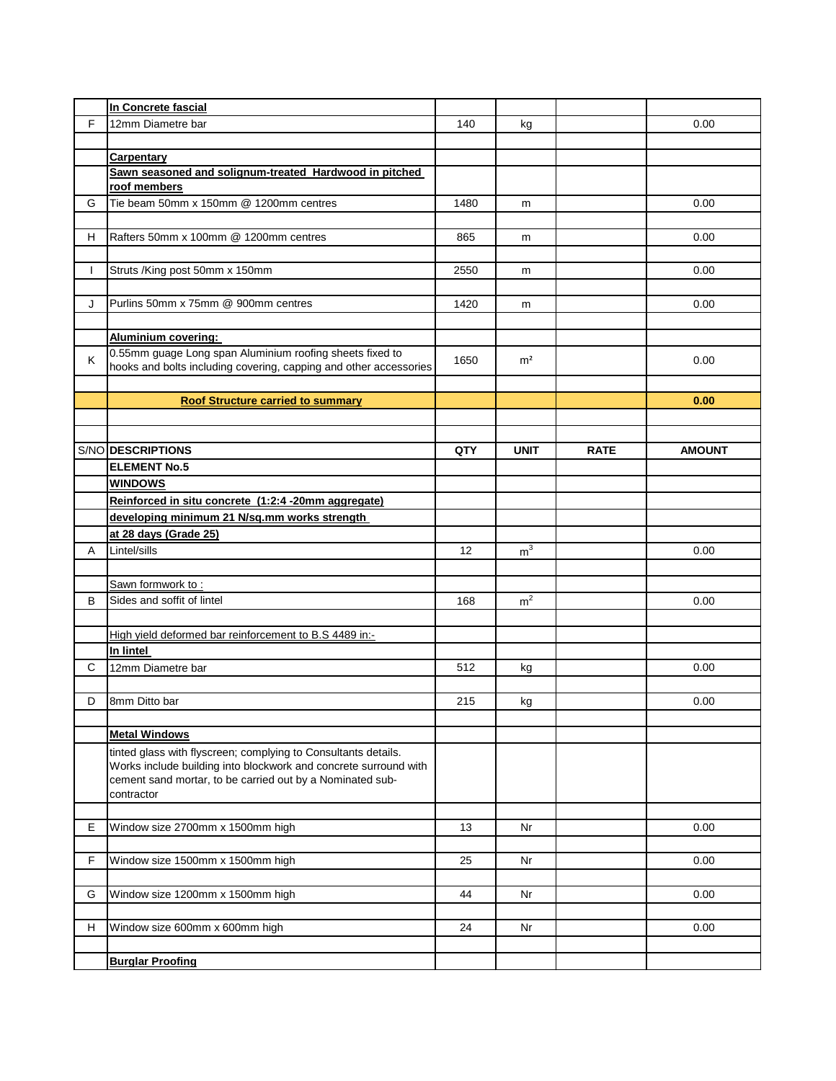|              | In Concrete fascial                                               |      |                |             |               |
|--------------|-------------------------------------------------------------------|------|----------------|-------------|---------------|
| F            | 12mm Diametre bar                                                 | 140  | kg             |             | 0.00          |
|              |                                                                   |      |                |             |               |
|              | <b>Carpentary</b>                                                 |      |                |             |               |
|              | Sawn seasoned and solignum-treated Hardwood in pitched            |      |                |             |               |
|              | roof members                                                      |      |                |             |               |
| G            | Tie beam 50mm x 150mm @ 1200mm centres                            | 1480 | m              |             | 0.00          |
|              |                                                                   |      |                |             |               |
| H.           | Rafters 50mm x 100mm @ 1200mm centres                             | 865  | m              |             | 0.00          |
|              |                                                                   |      |                |             |               |
| $\mathbf{I}$ | Struts /King post 50mm x 150mm                                    | 2550 | m              |             | 0.00          |
|              |                                                                   |      |                |             |               |
| J            | Purlins 50mm x 75mm @ 900mm centres                               | 1420 | m              |             | 0.00          |
|              |                                                                   |      |                |             |               |
|              | <b>Aluminium covering:</b>                                        |      |                |             |               |
| Κ            | 0.55mm guage Long span Aluminium roofing sheets fixed to          | 1650 | m <sup>2</sup> |             | 0.00          |
|              | hooks and bolts including covering, capping and other accessories |      |                |             |               |
|              |                                                                   |      |                |             |               |
|              | <b>Roof Structure carried to summary</b>                          |      |                |             | 0.00          |
|              |                                                                   |      |                |             |               |
|              |                                                                   |      |                |             |               |
|              | S/NO DESCRIPTIONS                                                 | QTY  | <b>UNIT</b>    | <b>RATE</b> | <b>AMOUNT</b> |
|              | <b>ELEMENT No.5</b>                                               |      |                |             |               |
|              | <b>WINDOWS</b>                                                    |      |                |             |               |
|              | Reinforced in situ concrete (1:2:4 -20mm aggregate)               |      |                |             |               |
|              | developing minimum 21 N/sq.mm works strength                      |      |                |             |               |
|              | at 28 days (Grade 25)                                             |      |                |             |               |
| A            | Lintel/sills                                                      | 12   | m <sup>3</sup> |             | 0.00          |
|              |                                                                   |      |                |             |               |
|              | Sawn formwork to:                                                 |      |                |             |               |
| B            | Sides and soffit of lintel                                        | 168  | m <sup>2</sup> |             | 0.00          |
|              |                                                                   |      |                |             |               |
|              | High yield deformed bar reinforcement to B.S 4489 in:-            |      |                |             |               |
|              | In lintel                                                         |      |                |             |               |
| C            | 12mm Diametre bar                                                 | 512  | kg             |             | 0.00          |
| D            | 8mm Ditto bar                                                     | 215  |                |             | 0.00          |
|              |                                                                   |      | kg             |             |               |
|              | <b>Metal Windows</b>                                              |      |                |             |               |
|              | tinted glass with flyscreen; complying to Consultants details.    |      |                |             |               |
|              | Works include building into blockwork and concrete surround with  |      |                |             |               |
|              | cement sand mortar, to be carried out by a Nominated sub-         |      |                |             |               |
|              | contractor                                                        |      |                |             |               |
|              |                                                                   |      |                |             |               |
|              |                                                                   |      |                |             |               |
| Е            | Window size 2700mm x 1500mm high                                  | 13   | Nr             |             | 0.00          |
|              |                                                                   |      |                |             |               |
| F            | Window size 1500mm x 1500mm high                                  | 25   | Nr             |             | 0.00          |
|              |                                                                   |      |                |             |               |
| G            | Window size 1200mm x 1500mm high                                  | 44   | Nr             |             | 0.00          |
|              |                                                                   |      |                |             |               |
| H            | Window size 600mm x 600mm high                                    | 24   | Nr             |             | 0.00          |
|              |                                                                   |      |                |             |               |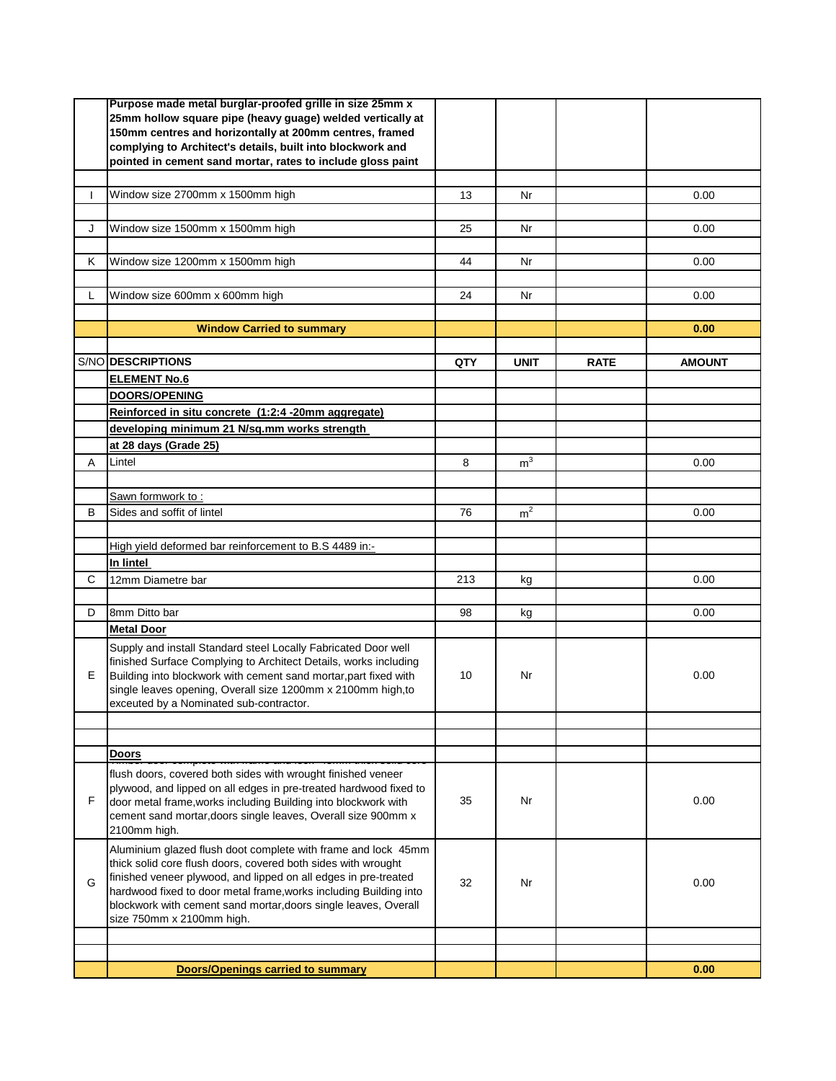|              | Purpose made metal burglar-proofed grille in size 25mm x                                                                             |     |                |             |               |
|--------------|--------------------------------------------------------------------------------------------------------------------------------------|-----|----------------|-------------|---------------|
|              | 25mm hollow square pipe (heavy guage) welded vertically at<br>150mm centres and horizontally at 200mm centres, framed                |     |                |             |               |
|              | complying to Architect's details, built into blockwork and                                                                           |     |                |             |               |
|              | pointed in cement sand mortar, rates to include gloss paint                                                                          |     |                |             |               |
|              |                                                                                                                                      |     |                |             |               |
| $\mathbf{I}$ | Window size 2700mm x 1500mm high                                                                                                     | 13  | Nr             |             | 0.00          |
|              |                                                                                                                                      |     |                |             |               |
| J            | Window size 1500mm x 1500mm high                                                                                                     | 25  | Nr             |             | 0.00          |
|              |                                                                                                                                      |     |                |             |               |
| Κ            | Window size 1200mm x 1500mm high                                                                                                     | 44  | Nr             |             | 0.00          |
|              |                                                                                                                                      |     |                |             |               |
| L            | Window size 600mm x 600mm high                                                                                                       | 24  | Nr             |             | 0.00          |
|              |                                                                                                                                      |     |                |             |               |
|              | <b>Window Carried to summary</b>                                                                                                     |     |                |             | 0.00          |
|              |                                                                                                                                      |     |                |             |               |
|              | S/NO DESCRIPTIONS                                                                                                                    | QTY | <b>UNIT</b>    | <b>RATE</b> | <b>AMOUNT</b> |
|              | <b>ELEMENT No.6</b>                                                                                                                  |     |                |             |               |
|              | <b>DOORS/OPENING</b>                                                                                                                 |     |                |             |               |
|              | Reinforced in situ concrete (1:2:4 -20mm aggregate)                                                                                  |     |                |             |               |
|              | developing minimum 21 N/sq.mm works strength                                                                                         |     |                |             |               |
|              | at 28 days (Grade 25)                                                                                                                |     |                |             |               |
| A            | Lintel                                                                                                                               | 8   | $\mathsf{m}^3$ |             | 0.00          |
|              |                                                                                                                                      |     |                |             |               |
|              | <u>Sawn formwork to :</u>                                                                                                            |     |                |             |               |
| B            | Sides and soffit of lintel                                                                                                           | 76  | m <sup>2</sup> |             | 0.00          |
|              |                                                                                                                                      |     |                |             |               |
|              | High yield deformed bar reinforcement to B.S 4489 in:-                                                                               |     |                |             |               |
|              | In lintel                                                                                                                            |     |                |             |               |
| C            | 12mm Diametre bar                                                                                                                    | 213 | kg             |             | 0.00          |
|              |                                                                                                                                      |     |                |             |               |
| D            | 8mm Ditto bar                                                                                                                        | 98  | kg             |             | 0.00          |
|              | <b>Metal Door</b>                                                                                                                    |     |                |             |               |
|              | Supply and install Standard steel Locally Fabricated Door well                                                                       |     |                |             |               |
|              | finished Surface Complying to Architect Details, works including                                                                     |     |                |             |               |
| Е            | Building into blockwork with cement sand mortar, part fixed with                                                                     | 10  | Nr             |             | 0.00          |
|              | single leaves opening, Overall size 1200mm x 2100mm high,to<br>exceuted by a Nominated sub-contractor.                               |     |                |             |               |
|              |                                                                                                                                      |     |                |             |               |
|              |                                                                                                                                      |     |                |             |               |
|              | Doors                                                                                                                                |     |                |             |               |
|              | flush doors, covered both sides with wrought finished veneer                                                                         |     |                |             |               |
|              | plywood, and lipped on all edges in pre-treated hardwood fixed to                                                                    |     |                |             |               |
| F            | door metal frame, works including Building into blockwork with                                                                       | 35  | Nr             |             | 0.00          |
|              | cement sand mortar, doors single leaves, Overall size 900mm x                                                                        |     |                |             |               |
|              | 2100mm high.                                                                                                                         |     |                |             |               |
|              | Aluminium glazed flush doot complete with frame and lock 45mm                                                                        |     |                |             |               |
|              | thick solid core flush doors, covered both sides with wrought                                                                        |     |                |             |               |
| G            | finished veneer plywood, and lipped on all edges in pre-treated<br>hardwood fixed to door metal frame, works including Building into | 32  | Nr             |             | 0.00          |
|              | blockwork with cement sand mortar, doors single leaves, Overall                                                                      |     |                |             |               |
|              | size 750mm x 2100mm high.                                                                                                            |     |                |             |               |
|              |                                                                                                                                      |     |                |             |               |
|              |                                                                                                                                      |     |                |             |               |
|              | <b>Doors/Openings carried to summary</b>                                                                                             |     |                |             | 0.00          |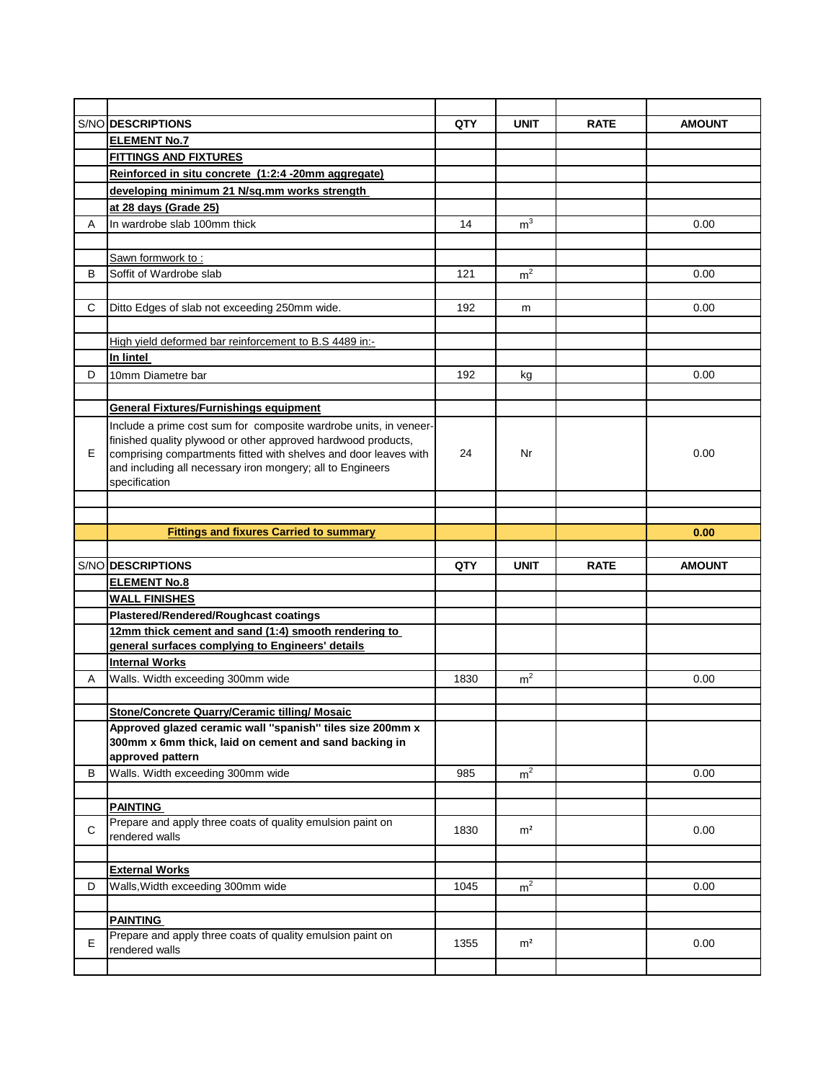| <b>AMOUNT</b><br>0.00 |
|-----------------------|
|                       |
|                       |
|                       |
|                       |
|                       |
|                       |
|                       |
|                       |
|                       |
| 0.00                  |
|                       |
| 0.00                  |
|                       |
|                       |
|                       |
|                       |
| 0.00                  |
|                       |
|                       |
|                       |
| 0.00                  |
|                       |
|                       |
|                       |
|                       |
| 0.00                  |
|                       |
| <b>AMOUNT</b>         |
|                       |
|                       |
|                       |
|                       |
|                       |
|                       |
|                       |
| 0.00                  |
|                       |
|                       |
|                       |
|                       |
|                       |
| 0.00                  |
|                       |
|                       |
| 0.00                  |
|                       |
|                       |
|                       |
| 0.00                  |
|                       |
|                       |
| 0.00                  |
|                       |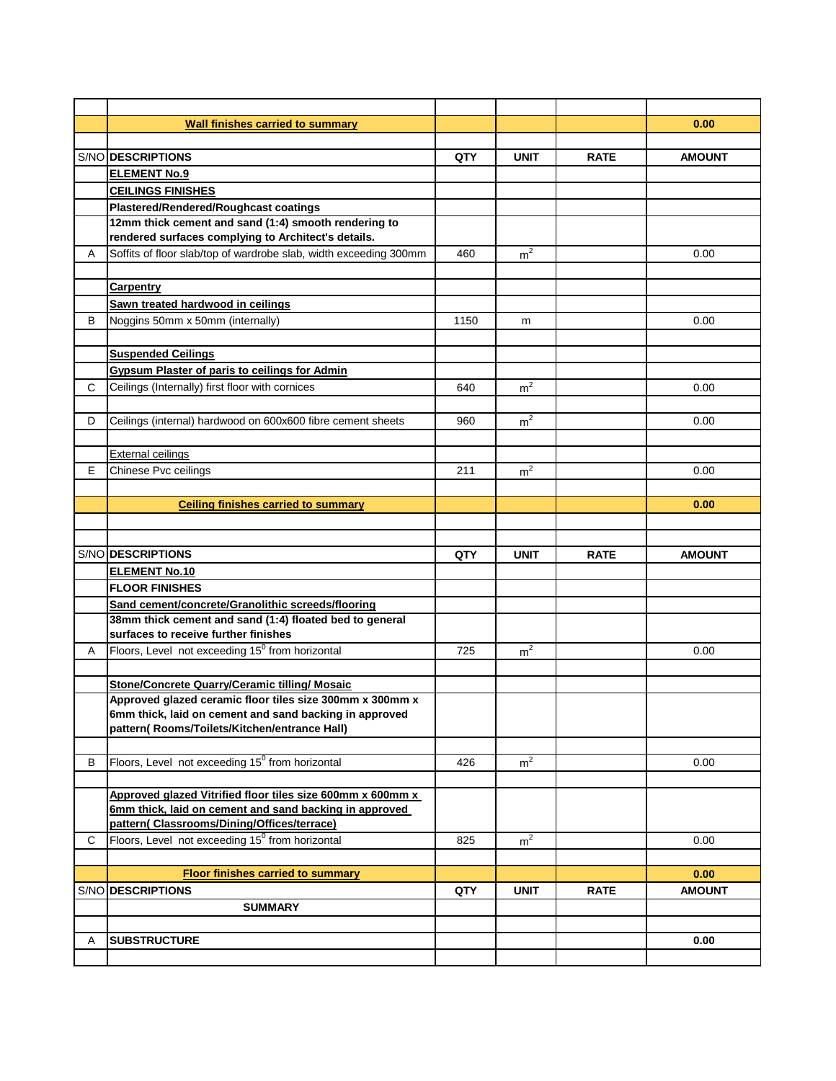|      | <b>Wall finishes carried to summary</b>                                                                            |      |                |             | 0.00          |
|------|--------------------------------------------------------------------------------------------------------------------|------|----------------|-------------|---------------|
|      |                                                                                                                    |      |                |             |               |
|      | S/NO DESCRIPTIONS                                                                                                  | QTY  | <b>UNIT</b>    | <b>RATE</b> | <b>AMOUNT</b> |
|      | <b>ELEMENT No.9</b>                                                                                                |      |                |             |               |
|      | <b>CEILINGS FINISHES</b>                                                                                           |      |                |             |               |
|      | Plastered/Rendered/Roughcast coatings                                                                              |      |                |             |               |
|      | 12mm thick cement and sand (1:4) smooth rendering to                                                               |      |                |             |               |
|      | rendered surfaces complying to Architect's details.                                                                |      |                |             |               |
| Α    | Soffits of floor slab/top of wardrobe slab, width exceeding 300mm                                                  | 460  | m <sup>2</sup> |             | 0.00          |
|      |                                                                                                                    |      |                |             |               |
|      | <b>Carpentry</b>                                                                                                   |      |                |             |               |
|      | Sawn treated hardwood in ceilings                                                                                  |      |                |             |               |
| В    | Noggins 50mm x 50mm (internally)                                                                                   | 1150 | m              |             | 0.00          |
|      |                                                                                                                    |      |                |             |               |
|      | <b>Suspended Ceilings</b>                                                                                          |      |                |             |               |
|      | <b>Gypsum Plaster of paris to ceilings for Admin</b>                                                               |      |                |             |               |
| C    | Ceilings (Internally) first floor with cornices                                                                    | 640  | m <sup>2</sup> |             | 0.00          |
|      |                                                                                                                    |      |                |             |               |
| D    | Ceilings (internal) hardwood on 600x600 fibre cement sheets                                                        | 960  | m <sup>2</sup> |             | 0.00          |
|      |                                                                                                                    |      |                |             |               |
|      | <b>External ceilings</b>                                                                                           |      |                |             |               |
| E    | Chinese Pvc ceilings                                                                                               | 211  | m <sup>2</sup> |             | 0.00          |
|      |                                                                                                                    |      |                |             |               |
|      | <b>Ceiling finishes carried to summary</b>                                                                         |      |                |             | 0.00          |
|      |                                                                                                                    |      |                |             |               |
|      |                                                                                                                    |      |                |             |               |
|      |                                                                                                                    |      |                |             |               |
|      | S/NO DESCRIPTIONS                                                                                                  | QTY  | <b>UNIT</b>    | <b>RATE</b> | <b>AMOUNT</b> |
|      | <b>ELEMENT No.10</b>                                                                                               |      |                |             |               |
|      | <b>FLOOR FINISHES</b>                                                                                              |      |                |             |               |
|      | Sand cement/concrete/Granolithic screeds/flooring                                                                  |      |                |             |               |
|      | 38mm thick cement and sand (1:4) floated bed to general                                                            |      |                |             |               |
|      | surfaces to receive further finishes                                                                               |      |                |             |               |
| A    | Floors, Level not exceeding 15 <sup>0</sup> from horizontal                                                        | 725  | m <sup>2</sup> |             | 0.00          |
|      |                                                                                                                    |      |                |             |               |
|      | <b>Stone/Concrete Quarry/Ceramic tilling/ Mosaic</b>                                                               |      |                |             |               |
|      | Approved glazed ceramic floor tiles size 300mm x 300mm x<br>6mm thick, laid on cement and sand backing in approved |      |                |             |               |
|      | pattern(Rooms/Toilets/Kitchen/entrance Hall)                                                                       |      |                |             |               |
|      |                                                                                                                    |      |                |             |               |
| В    | Floors, Level not exceeding 15 <sup>0</sup> from horizontal                                                        | 426  | m <sup>2</sup> |             | 0.00          |
|      |                                                                                                                    |      |                |             |               |
|      | Approved glazed Vitrified floor tiles size 600mm x 600mm x                                                         |      |                |             |               |
|      | 6mm thick, laid on cement and sand backing in approved                                                             |      |                |             |               |
|      | pattern( Classrooms/Dining/Offices/terrace)                                                                        |      |                |             |               |
| C.   | Floors, Level not exceeding 15 <sup>0</sup> from horizontal                                                        | 825  | m <sup>2</sup> |             | 0.00          |
|      |                                                                                                                    |      |                |             |               |
|      | <b>Floor finishes carried to summary</b>                                                                           |      |                |             | 0.00          |
| S/NO | <b>DESCRIPTIONS</b>                                                                                                | QTY  | <b>UNIT</b>    | <b>RATE</b> | <b>AMOUNT</b> |
|      | <b>SUMMARY</b>                                                                                                     |      |                |             |               |
|      |                                                                                                                    |      |                |             |               |
| Α    | <b>SUBSTRUCTURE</b>                                                                                                |      |                |             | 0.00          |